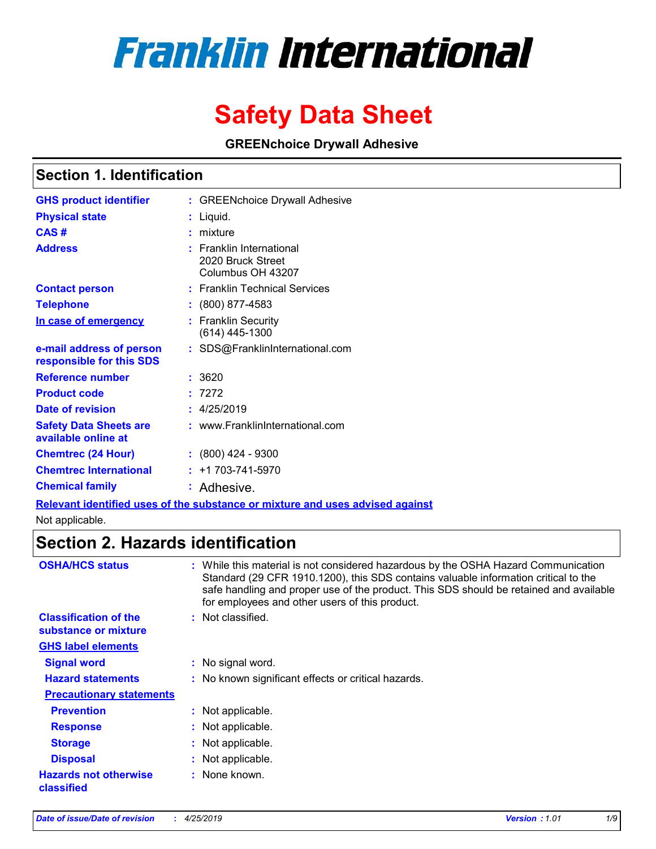# **Franklin International**

# **Safety Data Sheet**

**GREENchoice Drywall Adhesive** 

# **Section 1. Identification**

| <b>GHS product identifier</b>                        | : GREENchoice Drywall Adhesive                                                |
|------------------------------------------------------|-------------------------------------------------------------------------------|
| <b>Physical state</b>                                | : Liquid.                                                                     |
| CAS#                                                 | $:$ mixture                                                                   |
| <b>Address</b>                                       | <b>Franklin International</b><br>2020 Bruck Street<br>Columbus OH 43207       |
| <b>Contact person</b>                                | : Franklin Technical Services                                                 |
| <b>Telephone</b>                                     | $: (800) 877 - 4583$                                                          |
| In case of emergency                                 | : Franklin Security<br>$(614)$ 445-1300                                       |
| e-mail address of person<br>responsible for this SDS | : SDS@FranklinInternational.com                                               |
| <b>Reference number</b>                              | : 3620                                                                        |
| <b>Product code</b>                                  | : 7272                                                                        |
| Date of revision                                     | : 4/25/2019                                                                   |
| <b>Safety Data Sheets are</b><br>available online at | : www.FranklinInternational.com                                               |
| <b>Chemtrec (24 Hour)</b>                            | $: (800)$ 424 - 9300                                                          |
| <b>Chemtrec International</b>                        | $: +1703 - 741 - 5970$                                                        |
| <b>Chemical family</b>                               | : Adhesive.                                                                   |
|                                                      | Relevant identified uses of the substance or mixture and uses advised against |

Not applicable.

# **Section 2. Hazards identification**

| <b>OSHA/HCS status</b>                               | : While this material is not considered hazardous by the OSHA Hazard Communication<br>Standard (29 CFR 1910.1200), this SDS contains valuable information critical to the<br>safe handling and proper use of the product. This SDS should be retained and available<br>for employees and other users of this product. |
|------------------------------------------------------|-----------------------------------------------------------------------------------------------------------------------------------------------------------------------------------------------------------------------------------------------------------------------------------------------------------------------|
| <b>Classification of the</b><br>substance or mixture | : Not classified.                                                                                                                                                                                                                                                                                                     |
| <b>GHS label elements</b>                            |                                                                                                                                                                                                                                                                                                                       |
| <b>Signal word</b>                                   | : No signal word.                                                                                                                                                                                                                                                                                                     |
| <b>Hazard statements</b>                             | : No known significant effects or critical hazards.                                                                                                                                                                                                                                                                   |
| <b>Precautionary statements</b>                      |                                                                                                                                                                                                                                                                                                                       |
| <b>Prevention</b>                                    | : Not applicable.                                                                                                                                                                                                                                                                                                     |
| <b>Response</b>                                      | : Not applicable.                                                                                                                                                                                                                                                                                                     |
| <b>Storage</b>                                       | : Not applicable.                                                                                                                                                                                                                                                                                                     |
| <b>Disposal</b>                                      | : Not applicable.                                                                                                                                                                                                                                                                                                     |
| <b>Hazards not otherwise</b><br>classified           | : None known.                                                                                                                                                                                                                                                                                                         |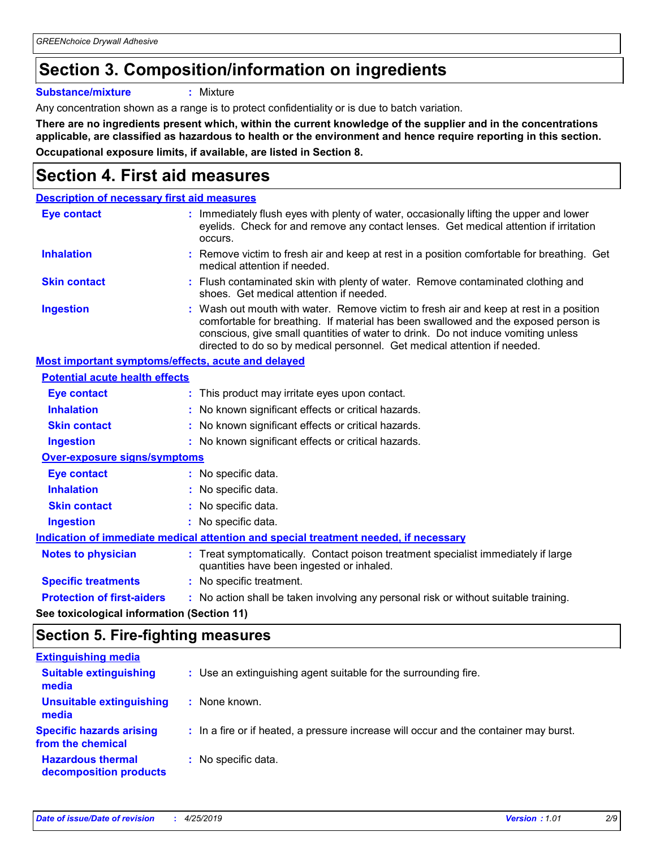# **Section 3. Composition/information on ingredients**

**Substance/mixture :** Mixture

Any concentration shown as a range is to protect confidentiality or is due to batch variation.

**There are no ingredients present which, within the current knowledge of the supplier and in the concentrations applicable, are classified as hazardous to health or the environment and hence require reporting in this section. Occupational exposure limits, if available, are listed in Section 8.**

# **Section 4. First aid measures**

| <b>Description of necessary first aid measures</b> |                                                                                                                                                                                                                                                                                                                                                |
|----------------------------------------------------|------------------------------------------------------------------------------------------------------------------------------------------------------------------------------------------------------------------------------------------------------------------------------------------------------------------------------------------------|
| <b>Eye contact</b>                                 | : Immediately flush eyes with plenty of water, occasionally lifting the upper and lower<br>eyelids. Check for and remove any contact lenses. Get medical attention if irritation<br>occurs.                                                                                                                                                    |
| <b>Inhalation</b>                                  | : Remove victim to fresh air and keep at rest in a position comfortable for breathing. Get<br>medical attention if needed.                                                                                                                                                                                                                     |
| <b>Skin contact</b>                                | : Flush contaminated skin with plenty of water. Remove contaminated clothing and<br>shoes. Get medical attention if needed.                                                                                                                                                                                                                    |
| <b>Ingestion</b>                                   | : Wash out mouth with water. Remove victim to fresh air and keep at rest in a position<br>comfortable for breathing. If material has been swallowed and the exposed person is<br>conscious, give small quantities of water to drink. Do not induce vomiting unless<br>directed to do so by medical personnel. Get medical attention if needed. |
| Most important symptoms/effects, acute and delayed |                                                                                                                                                                                                                                                                                                                                                |
| <b>Potential acute health effects</b>              |                                                                                                                                                                                                                                                                                                                                                |
| Eye contact                                        | : This product may irritate eyes upon contact.                                                                                                                                                                                                                                                                                                 |
| <b>Inhalation</b>                                  | : No known significant effects or critical hazards.                                                                                                                                                                                                                                                                                            |
| <b>Skin contact</b>                                | : No known significant effects or critical hazards.                                                                                                                                                                                                                                                                                            |
| <b>Ingestion</b>                                   | : No known significant effects or critical hazards.                                                                                                                                                                                                                                                                                            |
| <b>Over-exposure signs/symptoms</b>                |                                                                                                                                                                                                                                                                                                                                                |
| <b>Eye contact</b>                                 | : No specific data.                                                                                                                                                                                                                                                                                                                            |
| <b>Inhalation</b>                                  | : No specific data.                                                                                                                                                                                                                                                                                                                            |
| <b>Skin contact</b>                                | : No specific data.                                                                                                                                                                                                                                                                                                                            |
| <b>Ingestion</b>                                   | : No specific data.                                                                                                                                                                                                                                                                                                                            |
|                                                    | Indication of immediate medical attention and special treatment needed, if necessary                                                                                                                                                                                                                                                           |
| <b>Notes to physician</b>                          | : Treat symptomatically. Contact poison treatment specialist immediately if large<br>quantities have been ingested or inhaled.                                                                                                                                                                                                                 |
| <b>Specific treatments</b>                         | : No specific treatment.                                                                                                                                                                                                                                                                                                                       |
| <b>Protection of first-aiders</b>                  | : No action shall be taken involving any personal risk or without suitable training.                                                                                                                                                                                                                                                           |
|                                                    |                                                                                                                                                                                                                                                                                                                                                |

**See toxicological information (Section 11)**

### **Section 5. Fire-fighting measures**

| <b>Extinguishing media</b>                           |                                                                                       |
|------------------------------------------------------|---------------------------------------------------------------------------------------|
| <b>Suitable extinguishing</b><br>media               | : Use an extinguishing agent suitable for the surrounding fire.                       |
| <b>Unsuitable extinguishing</b><br>media             | : None known.                                                                         |
| <b>Specific hazards arising</b><br>from the chemical | : In a fire or if heated, a pressure increase will occur and the container may burst. |
| <b>Hazardous thermal</b><br>decomposition products   | : No specific data.                                                                   |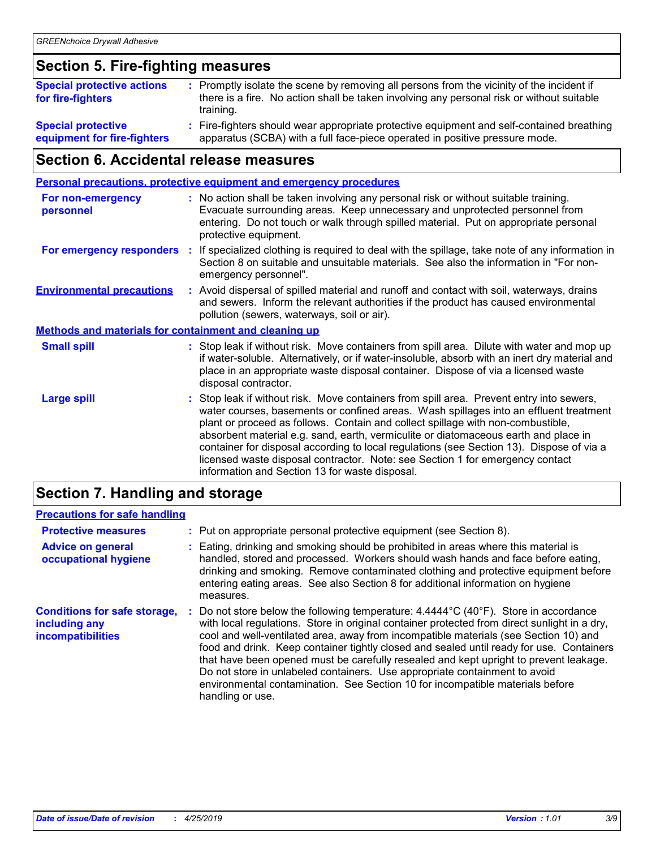# **Section 5. Fire-fighting measures**

| <b>Special protective actions</b><br>for fire-fighters   | : Promptly isolate the scene by removing all persons from the vicinity of the incident if<br>there is a fire. No action shall be taken involving any personal risk or without suitable<br>training. |
|----------------------------------------------------------|-----------------------------------------------------------------------------------------------------------------------------------------------------------------------------------------------------|
| <b>Special protective</b><br>equipment for fire-fighters | Fire-fighters should wear appropriate protective equipment and self-contained breathing<br>apparatus (SCBA) with a full face-piece operated in positive pressure mode.                              |

# **Section 6. Accidental release measures**

|                                                              |    | <b>Personal precautions, protective equipment and emergency procedures</b>                                                                                                                                                                                                                                                                                                                                                                                                                                                                                                                 |
|--------------------------------------------------------------|----|--------------------------------------------------------------------------------------------------------------------------------------------------------------------------------------------------------------------------------------------------------------------------------------------------------------------------------------------------------------------------------------------------------------------------------------------------------------------------------------------------------------------------------------------------------------------------------------------|
| For non-emergency<br>personnel                               |    | : No action shall be taken involving any personal risk or without suitable training.<br>Evacuate surrounding areas. Keep unnecessary and unprotected personnel from<br>entering. Do not touch or walk through spilled material. Put on appropriate personal<br>protective equipment.                                                                                                                                                                                                                                                                                                       |
| For emergency responders                                     | ÷. | If specialized clothing is required to deal with the spillage, take note of any information in<br>Section 8 on suitable and unsuitable materials. See also the information in "For non-<br>emergency personnel".                                                                                                                                                                                                                                                                                                                                                                           |
| <b>Environmental precautions</b>                             |    | : Avoid dispersal of spilled material and runoff and contact with soil, waterways, drains<br>and sewers. Inform the relevant authorities if the product has caused environmental<br>pollution (sewers, waterways, soil or air).                                                                                                                                                                                                                                                                                                                                                            |
| <b>Methods and materials for containment and cleaning up</b> |    |                                                                                                                                                                                                                                                                                                                                                                                                                                                                                                                                                                                            |
| <b>Small spill</b>                                           |    | : Stop leak if without risk. Move containers from spill area. Dilute with water and mop up<br>if water-soluble. Alternatively, or if water-insoluble, absorb with an inert dry material and<br>place in an appropriate waste disposal container. Dispose of via a licensed waste<br>disposal contractor.                                                                                                                                                                                                                                                                                   |
| <b>Large spill</b>                                           |    | : Stop leak if without risk. Move containers from spill area. Prevent entry into sewers,<br>water courses, basements or confined areas. Wash spillages into an effluent treatment<br>plant or proceed as follows. Contain and collect spillage with non-combustible,<br>absorbent material e.g. sand, earth, vermiculite or diatomaceous earth and place in<br>container for disposal according to local regulations (see Section 13). Dispose of via a<br>licensed waste disposal contractor. Note: see Section 1 for emergency contact<br>information and Section 13 for waste disposal. |
|                                                              |    |                                                                                                                                                                                                                                                                                                                                                                                                                                                                                                                                                                                            |

### **Section 7. Handling and storage**

### **Precautions for safe handling**

| <b>Protective measures</b>                                                       | : Put on appropriate personal protective equipment (see Section 8).                                                                                                                                                                                                                                                                                                                                                                                                                                                                                                                                                                                                |
|----------------------------------------------------------------------------------|--------------------------------------------------------------------------------------------------------------------------------------------------------------------------------------------------------------------------------------------------------------------------------------------------------------------------------------------------------------------------------------------------------------------------------------------------------------------------------------------------------------------------------------------------------------------------------------------------------------------------------------------------------------------|
| <b>Advice on general</b><br>occupational hygiene                                 | Eating, drinking and smoking should be prohibited in areas where this material is<br>handled, stored and processed. Workers should wash hands and face before eating,<br>drinking and smoking. Remove contaminated clothing and protective equipment before<br>entering eating areas. See also Section 8 for additional information on hygiene<br>measures.                                                                                                                                                                                                                                                                                                        |
| <b>Conditions for safe storage,</b><br>including any<br><b>incompatibilities</b> | Do not store below the following temperature: $4.4444^{\circ}C(40^{\circ}F)$ . Store in accordance<br>with local regulations. Store in original container protected from direct sunlight in a dry,<br>cool and well-ventilated area, away from incompatible materials (see Section 10) and<br>food and drink. Keep container tightly closed and sealed until ready for use. Containers<br>that have been opened must be carefully resealed and kept upright to prevent leakage.<br>Do not store in unlabeled containers. Use appropriate containment to avoid<br>environmental contamination. See Section 10 for incompatible materials before<br>handling or use. |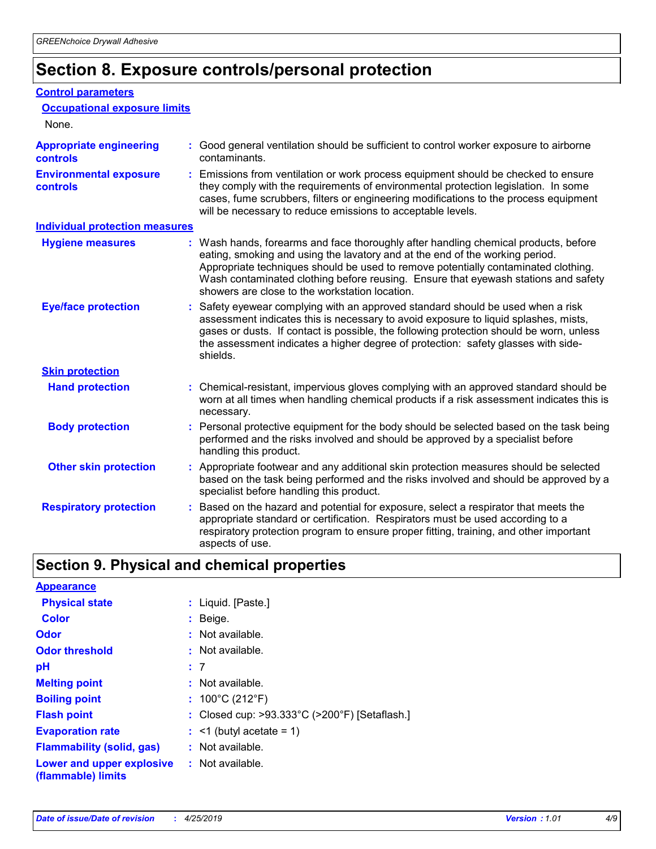# **Section 8. Exposure controls/personal protection**

#### **Control parameters**

| <b>Occupational exposure limits</b>               |                                                                                                                                                                                                                                                                                                                                                                                                   |
|---------------------------------------------------|---------------------------------------------------------------------------------------------------------------------------------------------------------------------------------------------------------------------------------------------------------------------------------------------------------------------------------------------------------------------------------------------------|
| None.                                             |                                                                                                                                                                                                                                                                                                                                                                                                   |
| <b>Appropriate engineering</b><br><b>controls</b> | : Good general ventilation should be sufficient to control worker exposure to airborne<br>contaminants.                                                                                                                                                                                                                                                                                           |
| <b>Environmental exposure</b><br><b>controls</b>  | : Emissions from ventilation or work process equipment should be checked to ensure<br>they comply with the requirements of environmental protection legislation. In some<br>cases, fume scrubbers, filters or engineering modifications to the process equipment<br>will be necessary to reduce emissions to acceptable levels.                                                                   |
| <b>Individual protection measures</b>             |                                                                                                                                                                                                                                                                                                                                                                                                   |
| <b>Hygiene measures</b>                           | : Wash hands, forearms and face thoroughly after handling chemical products, before<br>eating, smoking and using the lavatory and at the end of the working period.<br>Appropriate techniques should be used to remove potentially contaminated clothing.<br>Wash contaminated clothing before reusing. Ensure that eyewash stations and safety<br>showers are close to the workstation location. |
| <b>Eye/face protection</b>                        | : Safety eyewear complying with an approved standard should be used when a risk<br>assessment indicates this is necessary to avoid exposure to liquid splashes, mists,<br>gases or dusts. If contact is possible, the following protection should be worn, unless<br>the assessment indicates a higher degree of protection: safety glasses with side-<br>shields.                                |
| <b>Skin protection</b>                            |                                                                                                                                                                                                                                                                                                                                                                                                   |
| <b>Hand protection</b>                            | : Chemical-resistant, impervious gloves complying with an approved standard should be<br>worn at all times when handling chemical products if a risk assessment indicates this is<br>necessary.                                                                                                                                                                                                   |
| <b>Body protection</b>                            | : Personal protective equipment for the body should be selected based on the task being<br>performed and the risks involved and should be approved by a specialist before<br>handling this product.                                                                                                                                                                                               |
| <b>Other skin protection</b>                      | : Appropriate footwear and any additional skin protection measures should be selected<br>based on the task being performed and the risks involved and should be approved by a<br>specialist before handling this product.                                                                                                                                                                         |
| <b>Respiratory protection</b>                     | Based on the hazard and potential for exposure, select a respirator that meets the<br>appropriate standard or certification. Respirators must be used according to a<br>respiratory protection program to ensure proper fitting, training, and other important<br>aspects of use.                                                                                                                 |

# **Section 9. Physical and chemical properties**

| <b>Appearance</b>                                                       |                                                                    |
|-------------------------------------------------------------------------|--------------------------------------------------------------------|
| <b>Physical state</b>                                                   | : Liquid. [Paste.]                                                 |
| <b>Color</b>                                                            | $:$ Beige.                                                         |
| <b>Odor</b>                                                             | $:$ Not available.                                                 |
| <b>Odor threshold</b>                                                   | $:$ Not available.                                                 |
| рH                                                                      | :7                                                                 |
| <b>Melting point</b>                                                    | $:$ Not available.                                                 |
| <b>Boiling point</b>                                                    | : $100^{\circ}$ C (212 $^{\circ}$ F)                               |
| <b>Flash point</b>                                                      | : Closed cup: $>93.333^{\circ}$ C ( $>200^{\circ}$ F) [Setaflash.] |
| <b>Evaporation rate</b>                                                 | $:$ <1 (butyl acetate = 1)                                         |
| <b>Flammability (solid, gas)</b>                                        | $:$ Not available.                                                 |
| <b>Lower and upper explosive : Not available.</b><br>(flammable) limits |                                                                    |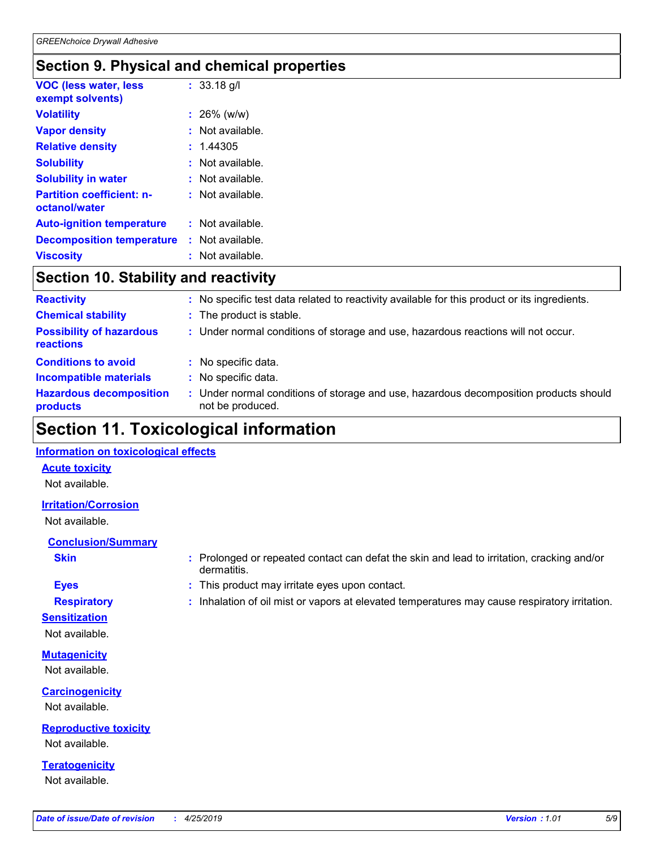### **Section 9. Physical and chemical properties**

| <b>VOC (less water, less</b><br>exempt solvents)  | $: 33.18$ g/l    |  |
|---------------------------------------------------|------------------|--|
| <b>Volatility</b>                                 | $: 26\%$ (w/w)   |  |
| <b>Vapor density</b>                              | : Not available. |  |
| <b>Relative density</b>                           | : 1.44305        |  |
| <b>Solubility</b>                                 | : Not available. |  |
| <b>Solubility in water</b>                        | : Not available. |  |
| <b>Partition coefficient: n-</b><br>octanol/water | : Not available. |  |
| <b>Auto-ignition temperature</b>                  | : Not available. |  |
| <b>Decomposition temperature</b>                  | : Not available. |  |
| <b>Viscosity</b>                                  | : Not available. |  |

# **Section 10. Stability and reactivity**

| <b>Reactivity</b>                            |   | : No specific test data related to reactivity available for this product or its ingredients.            |
|----------------------------------------------|---|---------------------------------------------------------------------------------------------------------|
| <b>Chemical stability</b>                    |   | : The product is stable.                                                                                |
| <b>Possibility of hazardous</b><br>reactions |   | : Under normal conditions of storage and use, hazardous reactions will not occur.                       |
| <b>Conditions to avoid</b>                   | ÷ | No specific data.                                                                                       |
| <b>Incompatible materials</b>                |   | No specific data.                                                                                       |
| <b>Hazardous decomposition</b><br>products   |   | Under normal conditions of storage and use, hazardous decomposition products should<br>not be produced. |

# **Section 11. Toxicological information**

#### **Information on toxicological effects**

#### **Acute toxicity**

Not available.

#### **Irritation/Corrosion**

Not available.

#### **Conclusion/Summary**

- 
- **Sensitization**

Not available.

**Mutagenicity** Not available.

**Carcinogenicity** Not available.

**Reproductive toxicity** Not available.

**Teratogenicity** Not available.

- **Skin Example 3 :** Prolonged or repeated contact can defat the skin and lead to irritation, cracking and/or dermatitis.
- **Eyes :** This product may irritate eyes upon contact.
- **Respiratory :** Inhalation of oil mist or vapors at elevated temperatures may cause respiratory irritation.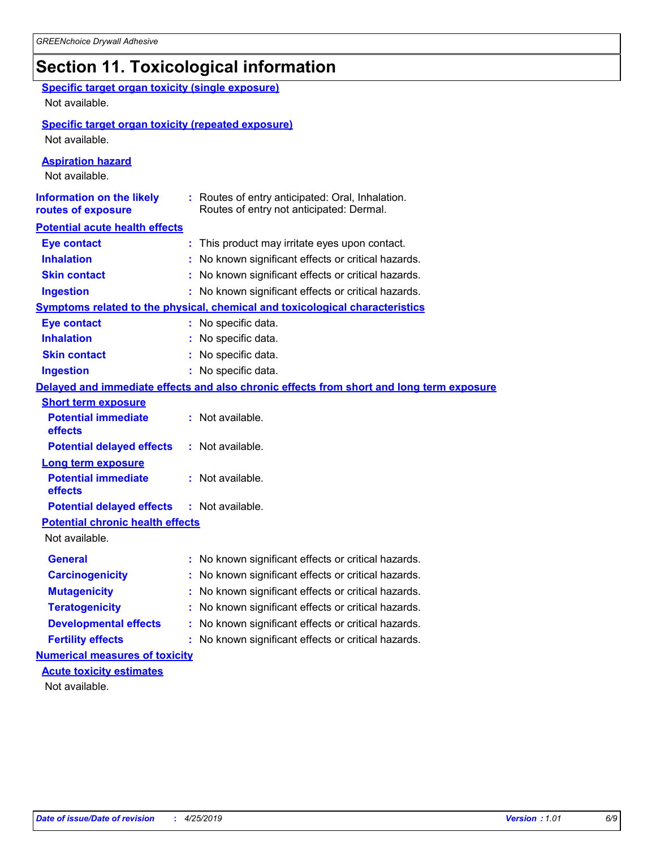# **Section 11. Toxicological information**

| <b>Specific target organ toxicity (single exposure)</b>   |                                                                                              |
|-----------------------------------------------------------|----------------------------------------------------------------------------------------------|
| Not available.                                            |                                                                                              |
| <b>Specific target organ toxicity (repeated exposure)</b> |                                                                                              |
| Not available.                                            |                                                                                              |
| <b>Aspiration hazard</b><br>Not available.                |                                                                                              |
| <b>Information on the likely</b><br>routes of exposure    | : Routes of entry anticipated: Oral, Inhalation.<br>Routes of entry not anticipated: Dermal. |
| <b>Potential acute health effects</b>                     |                                                                                              |
| <b>Eye contact</b>                                        | : This product may irritate eyes upon contact.                                               |
| <b>Inhalation</b>                                         | : No known significant effects or critical hazards.                                          |
| <b>Skin contact</b>                                       | : No known significant effects or critical hazards.                                          |
| <b>Ingestion</b>                                          | : No known significant effects or critical hazards.                                          |
|                                                           | <b>Symptoms related to the physical, chemical and toxicological characteristics</b>          |
| <b>Eye contact</b>                                        | : No specific data.                                                                          |
| <b>Inhalation</b>                                         | No specific data.                                                                            |
| <b>Skin contact</b>                                       | No specific data.                                                                            |
| <b>Ingestion</b>                                          | : No specific data.                                                                          |
|                                                           | Delayed and immediate effects and also chronic effects from short and long term exposure     |
| <b>Short term exposure</b>                                |                                                                                              |
| <b>Potential immediate</b><br>effects                     | : Not available.                                                                             |
| <b>Potential delayed effects</b>                          | : Not available.                                                                             |
| <b>Long term exposure</b>                                 |                                                                                              |
| <b>Potential immediate</b><br>effects                     | : Not available.                                                                             |
| <b>Potential delayed effects</b>                          | $:$ Not available.                                                                           |
| <b>Potential chronic health effects</b>                   |                                                                                              |
| Not available.                                            |                                                                                              |
| <b>General</b>                                            | No known significant effects or critical hazards.                                            |
| <b>Carcinogenicity</b>                                    | : No known significant effects or critical hazards.                                          |
| <b>Mutagenicity</b>                                       | No known significant effects or critical hazards.                                            |
| <b>Teratogenicity</b>                                     | No known significant effects or critical hazards.                                            |
| <b>Developmental effects</b>                              | No known significant effects or critical hazards.                                            |
| <b>Fertility effects</b>                                  | No known significant effects or critical hazards.                                            |
| <b>Numerical measures of toxicity</b>                     |                                                                                              |
| <b>Acute toxicity estimates</b>                           |                                                                                              |
| Not available.                                            |                                                                                              |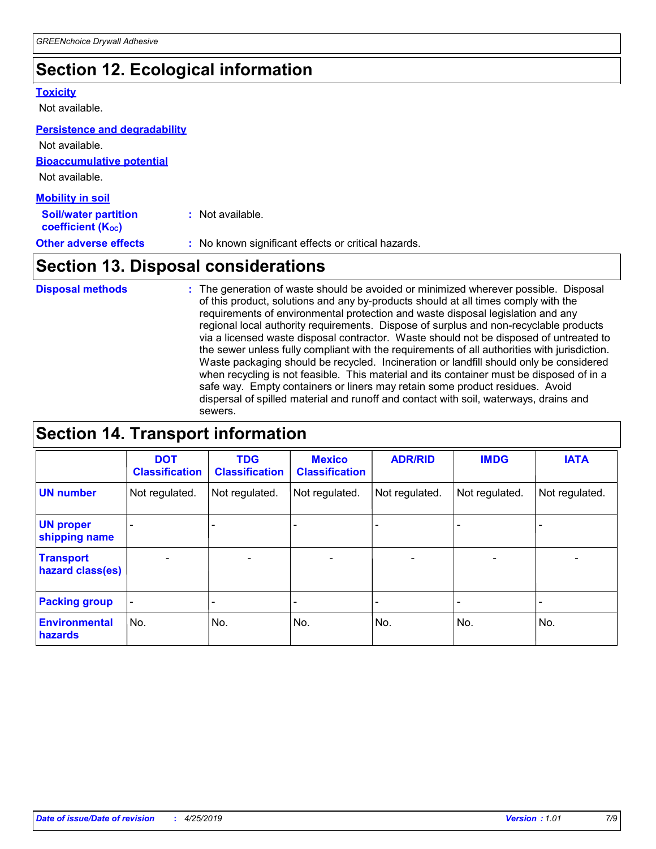# **Section 12. Ecological information**

#### **Toxicity**

Not available.

#### **Persistence and degradability**

**Bioaccumulative potential** Not available. Not available.

| <b>Mobility in soil</b>                                       |                                                     |
|---------------------------------------------------------------|-----------------------------------------------------|
| <b>Soil/water partition</b><br>coefficient (K <sub>oc</sub> ) | : Not available.                                    |
| <b>Other adverse effects</b>                                  | : No known significant effects or critical hazards. |

# **Section 13. Disposal considerations**

The generation of waste should be avoided or minimized wherever possible. Disposal of this product, solutions and any by-products should at all times comply with the requirements of environmental protection and waste disposal legislation and any regional local authority requirements. Dispose of surplus and non-recyclable products via a licensed waste disposal contractor. Waste should not be disposed of untreated to the sewer unless fully compliant with the requirements of all authorities with jurisdiction. Waste packaging should be recycled. Incineration or landfill should only be considered when recycling is not feasible. This material and its container must be disposed of in a safe way. Empty containers or liners may retain some product residues. Avoid dispersal of spilled material and runoff and contact with soil, waterways, drains and sewers. **Disposal methods :**

# **Section 14. Transport information**

|                                      | <b>DOT</b><br><b>Classification</b> | <b>TDG</b><br><b>Classification</b> | <b>Mexico</b><br><b>Classification</b> | <b>ADR/RID</b>               | <b>IMDG</b>              | <b>IATA</b>              |
|--------------------------------------|-------------------------------------|-------------------------------------|----------------------------------------|------------------------------|--------------------------|--------------------------|
| <b>UN number</b>                     | Not regulated.                      | Not regulated.                      | Not regulated.                         | Not regulated.               | Not regulated.           | Not regulated.           |
| <b>UN proper</b><br>shipping name    |                                     |                                     |                                        |                              |                          |                          |
| <b>Transport</b><br>hazard class(es) | $\overline{\phantom{0}}$            | $\overline{\phantom{0}}$            | $\qquad \qquad$                        | $\qquad \qquad \blacksquare$ | $\overline{\phantom{0}}$ | $\overline{\phantom{0}}$ |
| <b>Packing group</b>                 | $\blacksquare$                      | -                                   |                                        | -                            |                          | -                        |
| <b>Environmental</b><br>hazards      | No.                                 | No.                                 | No.                                    | No.                          | No.                      | No.                      |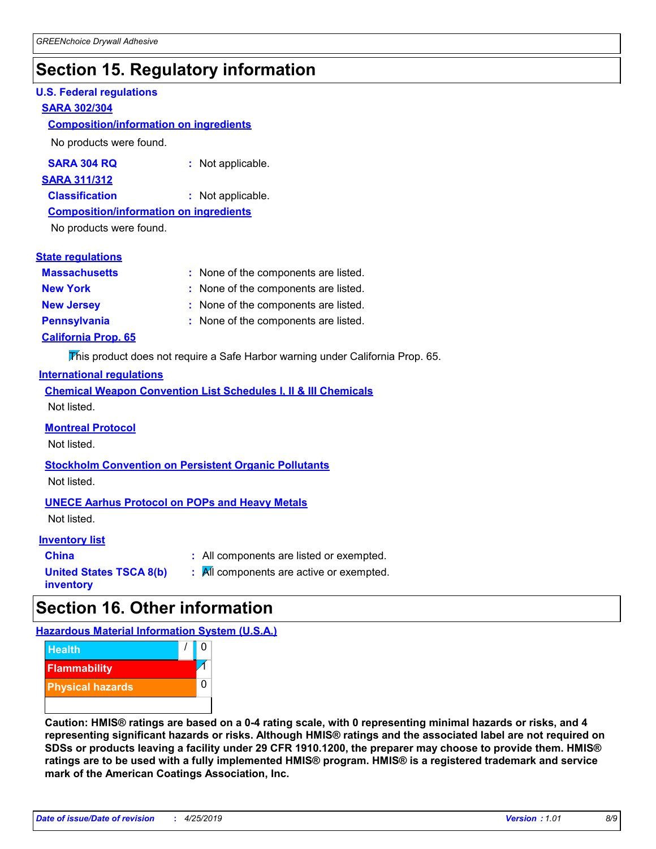# **Section 15. Regulatory information**

#### **U.S. Federal regulations**

#### **SARA 302/304**

#### **Composition/information on ingredients**

No products were found.

| SARA 304 RQ | Not applicable. |
|-------------|-----------------|
|-------------|-----------------|

#### **SARA 311/312**

**Classification :** Not applicable.

#### **Composition/information on ingredients**

No products were found.

#### **State regulations**

| <b>Massachusetts</b>       | : None of the components are listed. |
|----------------------------|--------------------------------------|
| <b>New York</b>            | : None of the components are listed. |
| <b>New Jersey</b>          | : None of the components are listed. |
| <b>Pennsylvania</b>        | : None of the components are listed. |
| <b>California Prop. 65</b> |                                      |

This product does not require a Safe Harbor warning under California Prop. 65.

#### **International regulations**

|             |  |  | <b>Chemical Weapon Convention List Schedules I, II &amp; III Chemicals</b> |  |
|-------------|--|--|----------------------------------------------------------------------------|--|
| Not listed. |  |  |                                                                            |  |

#### **Montreal Protocol**

Not listed.

# **Stockholm Convention on Persistent Organic Pollutants**

Not listed.

#### **UNECE Aarhus Protocol on POPs and Heavy Metals**

Not listed.

#### **Inventory list**

| <b>China</b>            |  |
|-------------------------|--|
| United States TSCA 8(b) |  |
| inventory               |  |

**:** All components are listed or exempted. **:** All components are active or exempted.

# **Section 16. Other information**

**Hazardous Material Information System (U.S.A.)**



**Caution: HMIS® ratings are based on a 0-4 rating scale, with 0 representing minimal hazards or risks, and 4 representing significant hazards or risks. Although HMIS® ratings and the associated label are not required on SDSs or products leaving a facility under 29 CFR 1910.1200, the preparer may choose to provide them. HMIS® ratings are to be used with a fully implemented HMIS® program. HMIS® is a registered trademark and service mark of the American Coatings Association, Inc.**